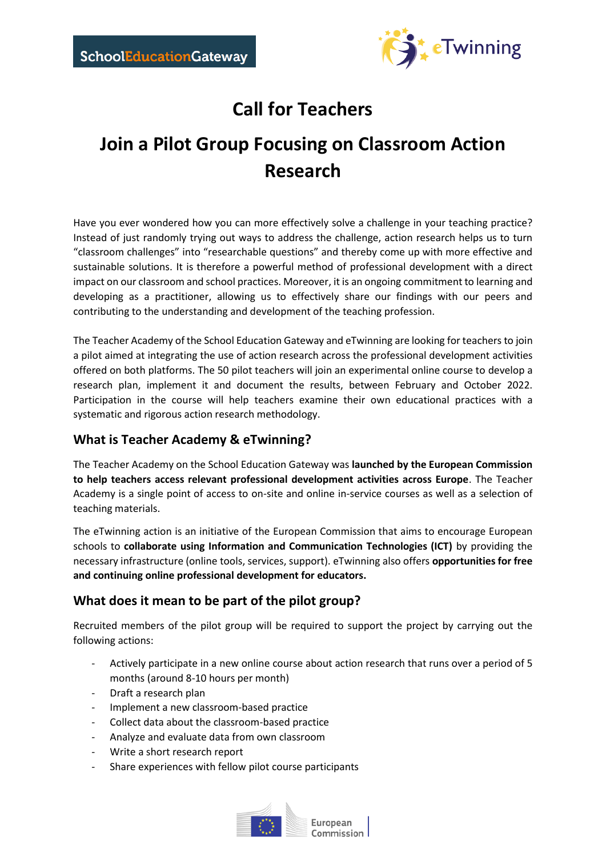

# **Call for Teachers**

# **Join a Pilot Group Focusing on Classroom Action Research**

Have you ever wondered how you can more effectively solve a challenge in your teaching practice? Instead of just randomly trying out ways to address the challenge, action research helps us to turn "classroom challenges" into "researchable questions" and thereby come up with more effective and sustainable solutions. It is therefore a powerful method of professional development with a direct impact on our classroom and school practices. Moreover, it is an ongoing commitment to learning and developing as a practitioner, allowing us to effectively share our findings with our peers and contributing to the understanding and development of the teaching profession.

The Teacher Academy of the School Education Gateway and eTwinning are looking for teachers to join a pilot aimed at integrating the use of action research across the professional development activities offered on both platforms. The 50 pilot teachers will join an experimental online course to develop a research plan, implement it and document the results, between February and October 2022. Participation in the course will help teachers examine their own educational practices with a systematic and rigorous action research methodology.

# **What is Teacher Academy & eTwinning?**

The Teacher Academy on the School Education Gateway was **launched by the European Commission to help teachers access relevant professional development activities across Europe**. The Teacher Academy is a single point of access to on-site and online in-service courses as well as a selection of teaching materials.

The eTwinning action is an initiative of the European Commission that aims to encourage European schools to **collaborate using Information and Communication Technologies (ICT)** by providing the necessary infrastructure (online tools, services, support). eTwinning also offers **opportunities for free and continuing online professional development for educators.**

# **What does it mean to be part of the pilot group?**

Recruited members of the pilot group will be required to support the project by carrying out the following actions:

- Actively participate in a new online course about action research that runs over a period of 5 months (around 8-10 hours per month)
- Draft a research plan
- Implement a new classroom-based practice
- Collect data about the classroom-based practice
- Analyze and evaluate data from own classroom
- Write a short research report
- Share experiences with fellow pilot course participants



European Commission